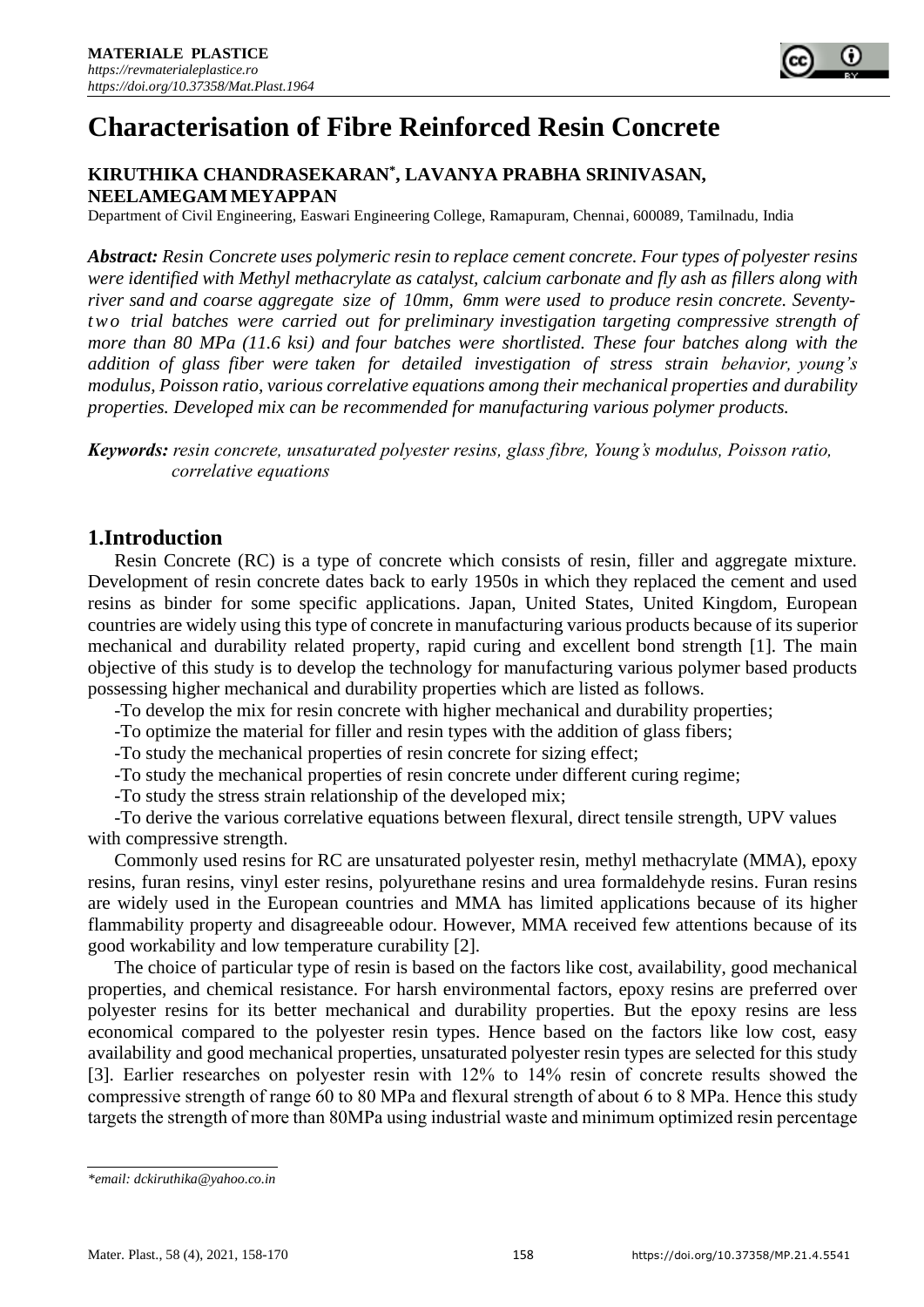

# **Characterisation of Fibre Reinforced Resin Concrete**

## **KIRUTHIKA CHANDRASEKARAN\* , LAVANYA PRABHA SRINIVASAN, NEELAMEGAM MEYAPPAN**

Department of Civil Engineering, Easwari Engineering College, Ramapuram, Chennai, 600089, Tamilnadu, India

*Abstract: Resin Concrete uses polymeric resin to replace cement concrete. Four types of polyester resins were identified with Methyl methacrylate as catalyst, calcium carbonate and fly ash as fillers along with river sand and coarse aggregate size of 10mm, 6mm were used to produce resin concrete. Seventyt w o trial batches were carried out for preliminary investigation targeting compressive strength of more than 80 MPa (11.6 ksi) and four batches were shortlisted. These four batches along with the addition of glass fiber were taken for detailed investigation of stress strain behavior, young's modulus, Poisson ratio, various correlative equations among their mechanical properties and durability properties. Developed mix can be recommended for manufacturing various polymer products.*

*Keywords: resin concrete, unsaturated polyester resins, glass fibre, Young's modulus, Poisson ratio, correlative equations*

## **1.Introduction**

Resin Concrete (RC) is a type of concrete which consists of resin, filler and aggregate mixture. Development of resin concrete dates back to early 1950s in which they replaced the cement and used resins as binder for some specific applications. Japan, United States, United Kingdom, European countries are widely using this type of concrete in manufacturing various products because of its superior mechanical and durability related property, rapid curing and excellent bond strength [1]. The main objective of this study is to develop the technology for manufacturing various polymer based products possessing higher mechanical and durability properties which are listed as follows.

-To develop the mix for resin concrete with higher mechanical and durability properties;

-To optimize the material for filler and resin types with the addition of glass fibers;

-To study the mechanical properties of resin concrete for sizing effect;

-To study the mechanical properties of resin concrete under different curing regime;

-To study the stress strain relationship of the developed mix;

-To derive the various correlative equations between flexural, direct tensile strength, UPV values with compressive strength.

Commonly used resins for RC are unsaturated polyester resin, methyl methacrylate (MMA), epoxy resins, furan resins, vinyl ester resins, polyurethane resins and urea formaldehyde resins. Furan resins are widely used in the European countries and MMA has limited applications because of its higher flammability property and disagreeable odour. However, MMA received few attentions because of its good workability and low temperature curability [2].

The choice of particular type of resin is based on the factors like cost, availability, good mechanical properties, and chemical resistance. For harsh environmental factors, epoxy resins are preferred over polyester resins for its better mechanical and durability properties. But the epoxy resins are less economical compared to the polyester resin types. Hence based on the factors like low cost, easy availability and good mechanical properties, unsaturated polyester resin types are selected for this study [3]. Earlier researches on polyester resin with 12% to 14% resin of concrete results showed the compressive strength of range 60 to 80 MPa and flexural strength of about 6 to 8 MPa. Hence this study targets the strength of more than 80MPa using industrial waste and minimum optimized resin percentage

*<sup>\*</sup>email[: dckiruthika@yahoo.co.in](mailto:dckiruthika@yahoo.co.in)*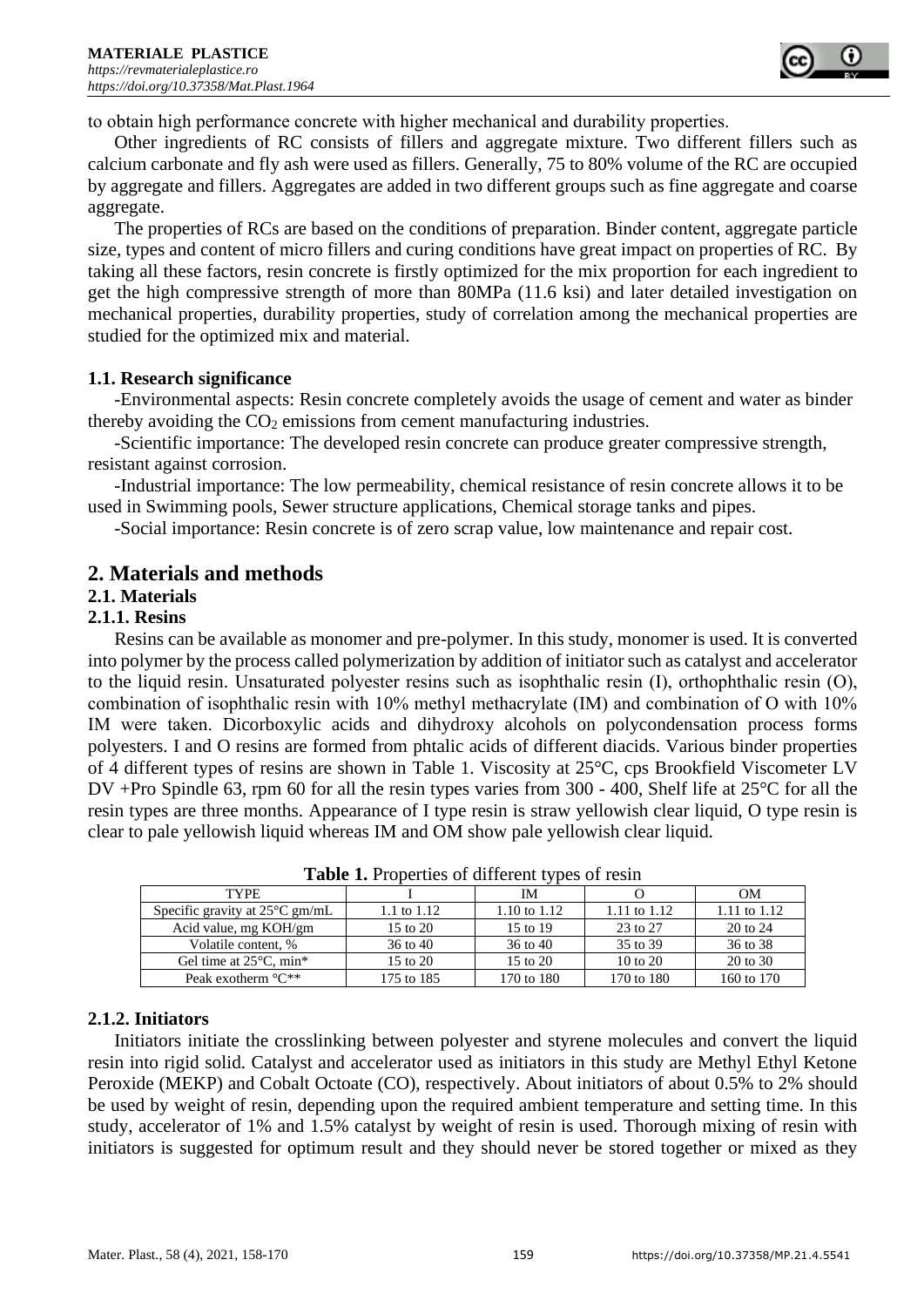

to obtain high performance concrete with higher mechanical and durability properties.

Other ingredients of RC consists of fillers and aggregate mixture. Two different fillers such as calcium carbonate and fly ash were used as fillers. Generally, 75 to 80% volume of the RC are occupied by aggregate and fillers. Aggregates are added in two different groups such as fine aggregate and coarse aggregate.

The properties of RCs are based on the conditions of preparation. Binder content, aggregate particle size, types and content of micro fillers and curing conditions have great impact on properties of RC. By taking all these factors, resin concrete is firstly optimized for the mix proportion for each ingredient to get the high compressive strength of more than 80MPa (11.6 ksi) and later detailed investigation on mechanical properties, durability properties, study of correlation among the mechanical properties are studied for the optimized mix and material.

## **1.1. Research significance**

-Environmental aspects: Resin concrete completely avoids the usage of cement and water as binder thereby avoiding the  $CO<sub>2</sub>$  emissions from cement manufacturing industries.

-Scientific importance: The developed resin concrete can produce greater compressive strength, resistant against corrosion.

-Industrial importance: The low [permeability,](https://en.wikipedia.org/wiki/Permeability_(earth_sciences)) chemical resistance of resin concrete allows it to be used in Swimming pools, Sewer structure applications, Chemical storage tanks and pipes.

-Social importance: Resin concrete is of zero scrap value, low maintenance and repair cost.

## **2. Materials and methods**

## **2.1. Materials**

#### **2.1.1. Resins**

Resins can be available as monomer and pre-polymer. In this study, monomer is used. It is converted into polymer by the process called polymerization by addition of initiator such as catalyst and accelerator to the liquid resin. Unsaturated polyester resins such as isophthalic resin (I), orthophthalic resin (O), combination of isophthalic resin with 10% methyl methacrylate (IM) and combination of O with 10% IM were taken. Dicorboxylic acids and dihydroxy alcohols on polycondensation process forms polyesters. I and O resins are formed from phtalic acids of different diacids. Various binder properties of 4 different types of resins are shown in Table 1. Viscosity at 25°C, cps Brookfield Viscometer LV DV +Pro Spindle 63, rpm 60 for all the resin types varies from 300 - 400, Shelf life at 25°C for all the resin types are three months. Appearance of I type resin is straw yellowish clear liquid, O type resin is clear to pale yellowish liquid whereas IM and OM show pale yellowish clear liquid.

|                                          |             | - -          |              |                |
|------------------------------------------|-------------|--------------|--------------|----------------|
| <b>TYPE</b>                              |             | IM           |              | <b>OM</b>      |
| Specific gravity at $25^{\circ}$ C gm/mL | 1.1 to 1.12 | 1.10 to 1.12 | 1.11 to 1.12 | 1.11 to $1.12$ |
| Acid value, mg KOH/gm                    | 15 to 20    | 15 to 19     | 23 to 27     | 20 to 24       |
| Volatile content, %                      | 36 to 40    | 36 to 40     | 35 to 39     | 36 to 38       |
| Gel time at $25^{\circ}$ C, min*         | 15 to 20    | 15 to 20     | 10 to 20     | 20 to 30       |
| Peak exotherm $\mathrm{C}^{**}$          | 175 to 185  | 170 to 180   | 170 to 180   | 160 to 170     |

**Table 1.** Properties of different types of resin

## **2.1.2. Initiators**

Initiators initiate the crosslinking between polyester and styrene molecules and convert the liquid resin into rigid solid. Catalyst and accelerator used as initiators in this study are Methyl Ethyl Ketone Peroxide (MEKP) and Cobalt Octoate (CO), respectively. About initiators of about 0.5% to 2% should be used by weight of resin, depending upon the required ambient temperature and setting time. In this study, accelerator of 1% and 1.5% catalyst by weight of resin is used. Thorough mixing of resin with initiators is suggested for optimum result and they should never be stored together or mixed as they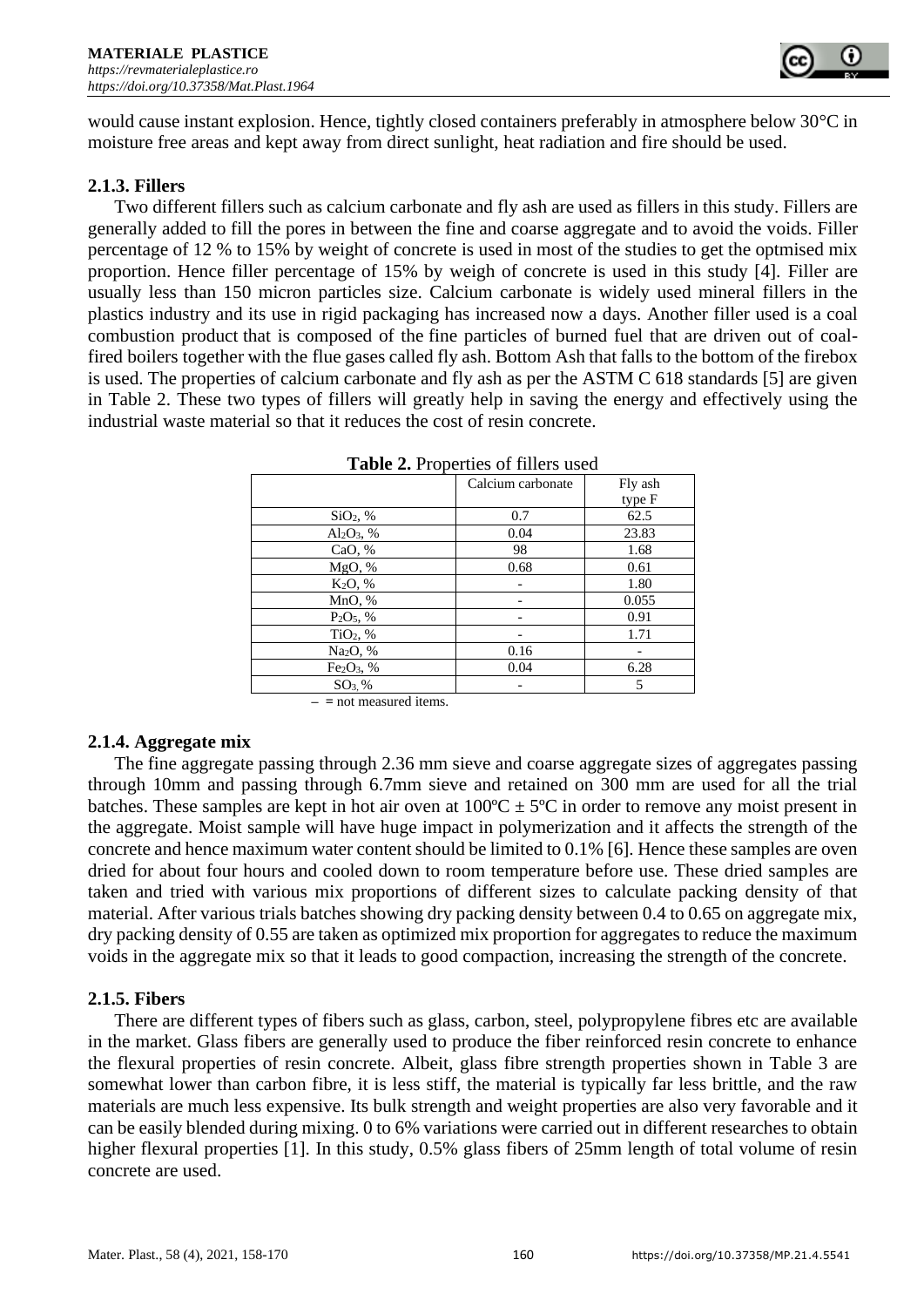

would cause instant explosion. Hence, tightly closed containers preferably in atmosphere below 30°C in moisture free areas and kept away from direct sunlight, heat radiation and fire should be used.

## **2.1.3. Fillers**

Two different fillers such as calcium carbonate and fly ash are used as fillers in this study. Fillers are generally added to fill the pores in between the fine and coarse aggregate and to avoid the voids. Filler percentage of 12 % to 15% by weight of concrete is used in most of the studies to get the optmised mix proportion. Hence filler percentage of 15% by weigh of concrete is used in this study [4]. Filler are usually less than 150 micron particles size. Calcium carbonate is widely used mineral fillers in the plastics industry and its use in rigid packaging has increased now a days. Another filler used is a [coal](https://en.wikipedia.org/wiki/Coal_combustion_product)  [combustion product](https://en.wikipedia.org/wiki/Coal_combustion_product) that is composed of the fine particles of burned fuel that are driven out of coalfired [boilers](https://en.wikipedia.org/wiki/Boiler) together with the [flue gases](https://en.wikipedia.org/wiki/Flue_gas) called fly ash. Bottom Ash that falls to the bottom of the firebox is used. The properties of calcium carbonate and fly ash as per the ASTM C 618 standards [5] are given in Table 2. These two types of fillers will greatly help in saving the energy and effectively using the industrial waste material so that it reduces the cost of resin concrete.

| $\frac{1}{2}$ and $\frac{1}{2}$ is a report from the response to $\frac{1}{2}$ |                   |         |  |  |
|--------------------------------------------------------------------------------|-------------------|---------|--|--|
|                                                                                | Calcium carbonate | Fly ash |  |  |
|                                                                                |                   | type F  |  |  |
| $SiO2$ , %                                                                     | 0.7               | 62.5    |  |  |
| $Al_2O_3$ , %                                                                  | 0.04              | 23.83   |  |  |
| CaO, %                                                                         | 98                | 1.68    |  |  |
| MgO, %                                                                         | 0.68              | 0.61    |  |  |
| K <sub>2</sub> O, %                                                            |                   | 1.80    |  |  |
| MnO, %                                                                         |                   | 0.055   |  |  |
| $P_2O_5$ , %                                                                   |                   | 0.91    |  |  |
| $TiO2$ , %                                                                     |                   | 1.71    |  |  |
| Na <sub>2</sub> O, %                                                           | 0.16              |         |  |  |
| $Fe2O3$ , %                                                                    | 0.04              | 6.28    |  |  |
| $SO3$ %                                                                        |                   | 5       |  |  |

**Table 2.** Properties of fillers used

**– =** not measured items.

## **2.1.4. Aggregate mix**

The fine aggregate passing through 2.36 mm sieve and coarse aggregate sizes of aggregates passing through 10mm and passing through 6.7mm sieve and retained on 300 mm are used for all the trial batches. These samples are kept in hot air oven at  $100^{\circ}C \pm 5^{\circ}C$  in order to remove any moist present in the aggregate. Moist sample will have huge impact in polymerization and it affects the strength of the concrete and hence maximum water content should be limited to 0.1% [6]. Hence these samples are oven dried for about four hours and cooled down to room temperature before use. These dried samples are taken and tried with various mix proportions of different sizes to calculate packing density of that material. After various trials batches showing dry packing density between 0.4 to 0.65 on aggregate mix, dry packing density of 0.55 are taken as optimized mix proportion for aggregates to reduce the maximum voids in the aggregate mix so that it leads to good compaction, increasing the strength of the concrete.

## **2.1.5. Fibers**

There are different types of fibers such as glass, carbon, steel, polypropylene fibres etc are available in the market. Glass fibers are generally used to produce the fiber reinforced resin concrete to enhance the flexural properties of resin concrete. Albeit, glass fibre strength properties shown in Table 3 are somewhat lower than carbon fibre, it is less stiff, the material is typically far less brittle, and the raw materials are much less expensive. Its bulk strength and weight properties are also very favorable and it can be easily blended during mixing. 0 to 6% variations were carried out in different researches to obtain higher flexural properties [1]. In this study, 0.5% glass fibers of 25mm length of total volume of resin concrete are used.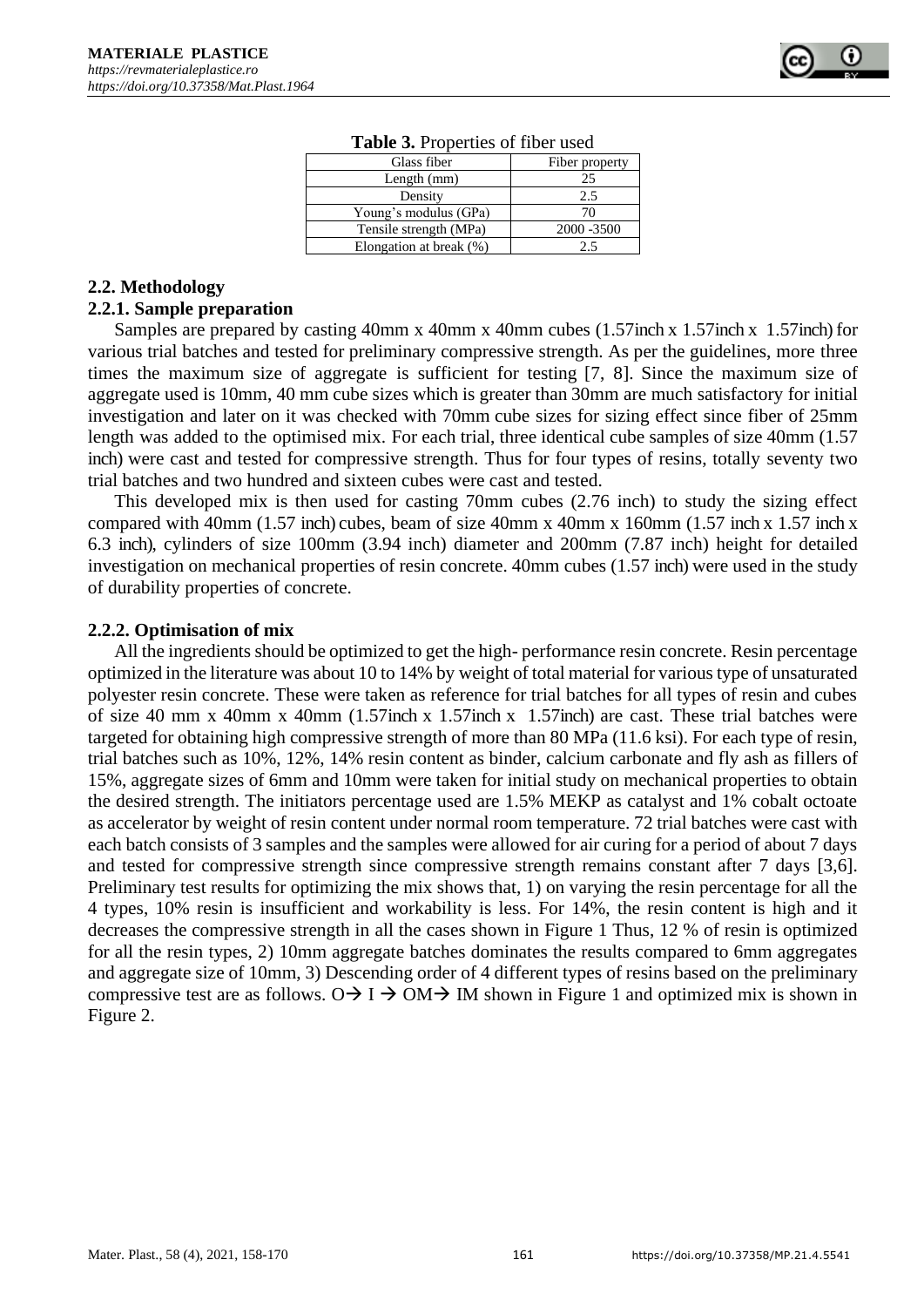| Glass fiber             | Fiber property |  |  |  |
|-------------------------|----------------|--|--|--|
| Length $(mm)$           | 25             |  |  |  |
| Density                 | 2.5            |  |  |  |
| Young's modulus (GPa)   | 70             |  |  |  |
| Tensile strength (MPa)  | 2000 - 3500    |  |  |  |
| Elongation at break (%) | 25             |  |  |  |
|                         |                |  |  |  |

**Table 3.** Properties of fiber used

#### **2.2. Methodology**

#### **2.2.1. Sample preparation**

Samples are prepared by casting 40mm x 40mm x 40mm cubes (1.57inch x 1.57inch x 1.57inch) for various trial batches and tested for preliminary compressive strength. As per the guidelines, more three times the maximum size of aggregate is sufficient for testing [7, 8]. Since the maximum size of aggregate used is 10mm, 40 mm cube sizes which is greater than 30mm are much satisfactory for initial investigation and later on it was checked with 70mm cube sizes for sizing effect since fiber of 25mm length was added to the optimised mix. For each trial, three identical cube samples of size 40mm (1.57 inch) were cast and tested for compressive strength. Thus for four types of resins, totally seventy two trial batches and two hundred and sixteen cubes were cast and tested.

This developed mix is then used for casting 70mm cubes (2.76 inch) to study the sizing effect compared with 40mm  $(1.57 \text{ inch})$  cubes, beam of size 40mm x 40mm x 160mm  $(1.57 \text{ inch} \times 1.57 \text{ inch} \times$ 6.3 inch), cylinders of size 100mm (3.94 inch) diameter and 200mm (7.87 inch) height for detailed investigation on mechanical properties of resin concrete. 40mm cubes (1.57 inch) were used in the study of durability properties of concrete.

#### **2.2.2. Optimisation of mix**

All the ingredients should be optimized to get the high- performance resin concrete. Resin percentage optimized in the literature was about 10 to 14% by weight of total material for various type of unsaturated polyester resin concrete. These were taken as reference for trial batches for all types of resin and cubes of size 40 mm x 40mm x 40mm (1.57inch x 1.57inch x 1.57inch) are cast. These trial batches were targeted for obtaining high compressive strength of more than 80 MPa (11.6 ksi). For each type of resin, trial batches such as 10%, 12%, 14% resin content as binder, calcium carbonate and fly ash as fillers of 15%, aggregate sizes of 6mm and 10mm were taken for initial study on mechanical properties to obtain the desired strength. The initiators percentage used are 1.5% MEKP as catalyst and 1% cobalt octoate as accelerator by weight of resin content under normal room temperature. 72 trial batches were cast with each batch consists of 3 samples and the samples were allowed for air curing for a period of about 7 days and tested for compressive strength since compressive strength remains constant after 7 days [3,6]. Preliminary test results for optimizing the mix shows that, 1) on varying the resin percentage for all the 4 types, 10% resin is insufficient and workability is less. For 14%, the resin content is high and it decreases the compressive strength in all the cases shown in Figure 1 Thus, 12 % of resin is optimized for all the resin types, 2) 10mm aggregate batches dominates the results compared to 6mm aggregates and aggregate size of 10mm, 3) Descending order of 4 different types of resins based on the preliminary compressive test are as follows.  $O \rightarrow I \rightarrow OM \rightarrow IM$  shown in Figure 1 and optimized mix is shown in Figure 2.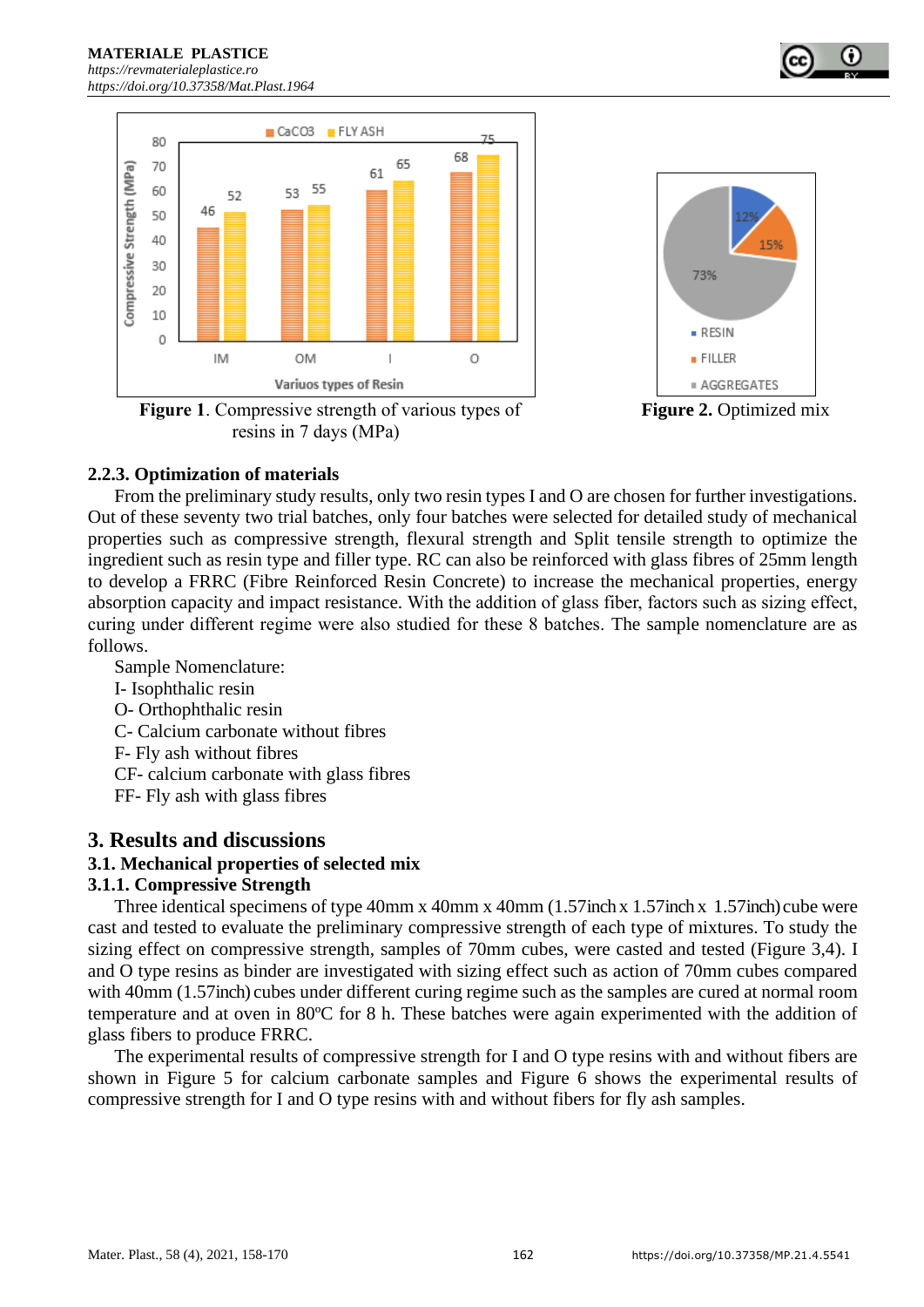

**Figure** 1. Compressive strength of various types of **Figure 2.** Optimized mix resins in 7 days (MPa)



## **2.2.3. Optimization of materials**

From the preliminary study results, only two resin types I and O are chosen for further investigations. Out of these seventy two trial batches, only four batches were selected for detailed study of mechanical properties such as compressive strength, flexural strength and Split tensile strength to optimize the ingredient such as resin type and filler type. RC can also be reinforced with glass fibres of 25mm length to develop a FRRC (Fibre Reinforced Resin Concrete) to increase the mechanical properties, energy absorption capacity and impact resistance. With the addition of glass fiber, factors such as sizing effect, curing under different regime were also studied for these 8 batches. The sample nomenclature are as follows.

Sample Nomenclature:

- I- Isophthalic resin
- O- Orthophthalic resin
- C- Calcium carbonate without fibres
- F- Fly ash without fibres
- CF- calcium carbonate with glass fibres
- FF- Fly ash with glass fibres

# **3. Results and discussions**

## **3.1. Mechanical properties of selected mix**

## **3.1.1. Compressive Strength**

Three identical specimens of type 40mm x 40mm x 40mm (1.57inch x 1.57inch x 1.57inch) cube were cast and tested to evaluate the preliminary compressive strength of each type of mixtures. To study the sizing effect on compressive strength, samples of 70mm cubes, were casted and tested (Figure 3,4). I and O type resins as binder are investigated with sizing effect such as action of 70mm cubes compared with 40mm (1.57inch) cubes under different curing regime such as the samples are cured at normal room temperature and at oven in 80ºC for 8 h. These batches were again experimented with the addition of glass fibers to produce FRRC.

The experimental results of compressive strength for I and O type resins with and without fibers are shown in Figure 5 for calcium carbonate samples and Figure 6 shows the experimental results of compressive strength for I and O type resins with and without fibers for fly ash samples.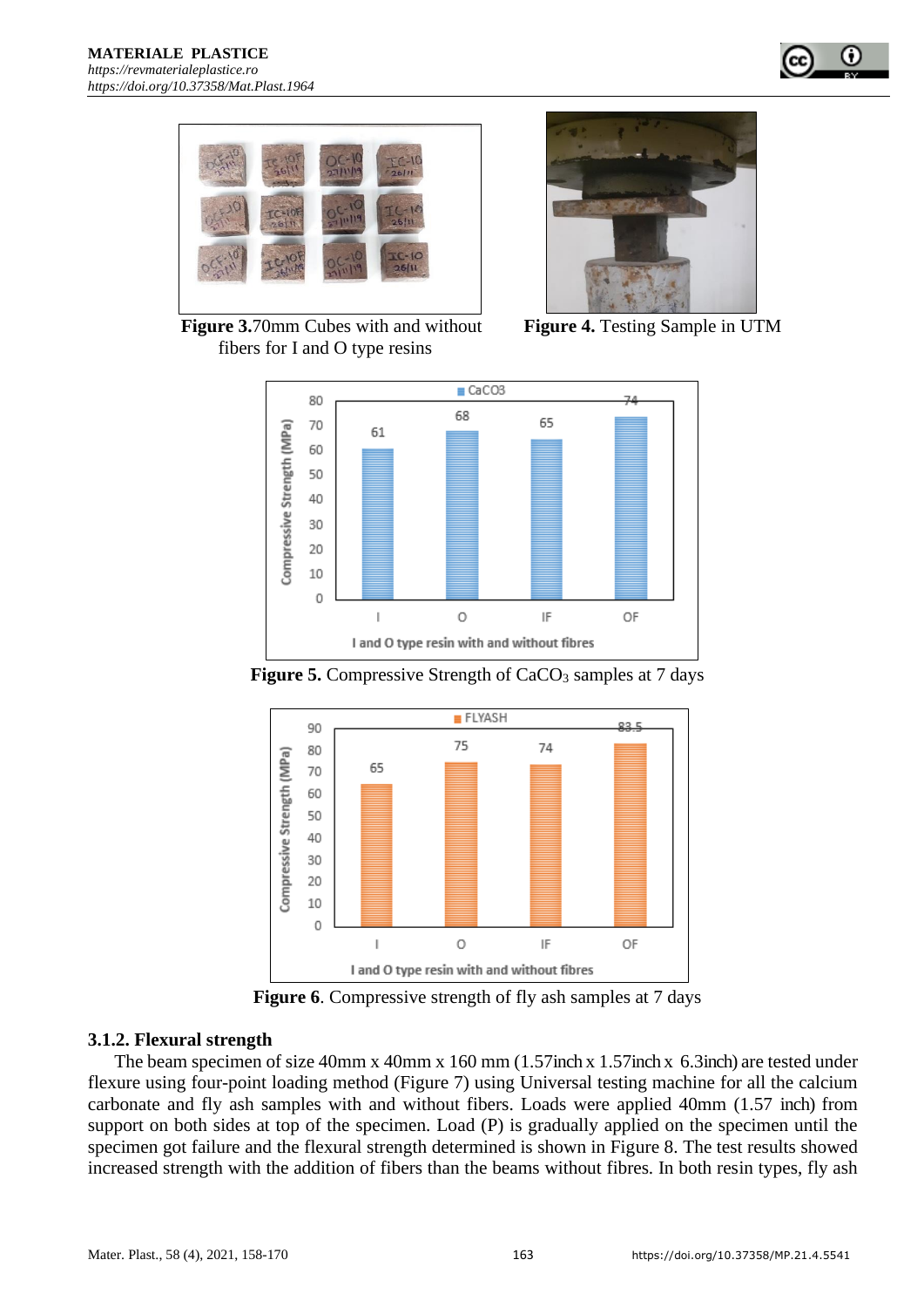



 **Figure 3.**70mm Cubes with and without **Figure 4.** Testing Sample in UTM fibers for I and O type resins







**Figure 5.** Compressive Strength of CaCO<sub>3</sub> samples at 7 days

**Figure 6.** Compressive strength of fly ash samples at 7 days

## **3.1.2. Flexural strength**

The beam specimen of size 40mm x 40mm x 160 mm (1.57inch x 1.57inch x 6.3inch) are tested under flexure using four-point loading method (Figure 7) using Universal testing machine for all the calcium carbonate and fly ash samples with and without fibers. Loads were applied 40mm (1.57 inch) from support on both sides at top of the specimen. Load (P) is gradually applied on the specimen until the specimen got failure and the flexural strength determined is shown in Figure 8. The test results showed increased strength with the addition of fibers than the beams without fibres. In both resin types, fly ash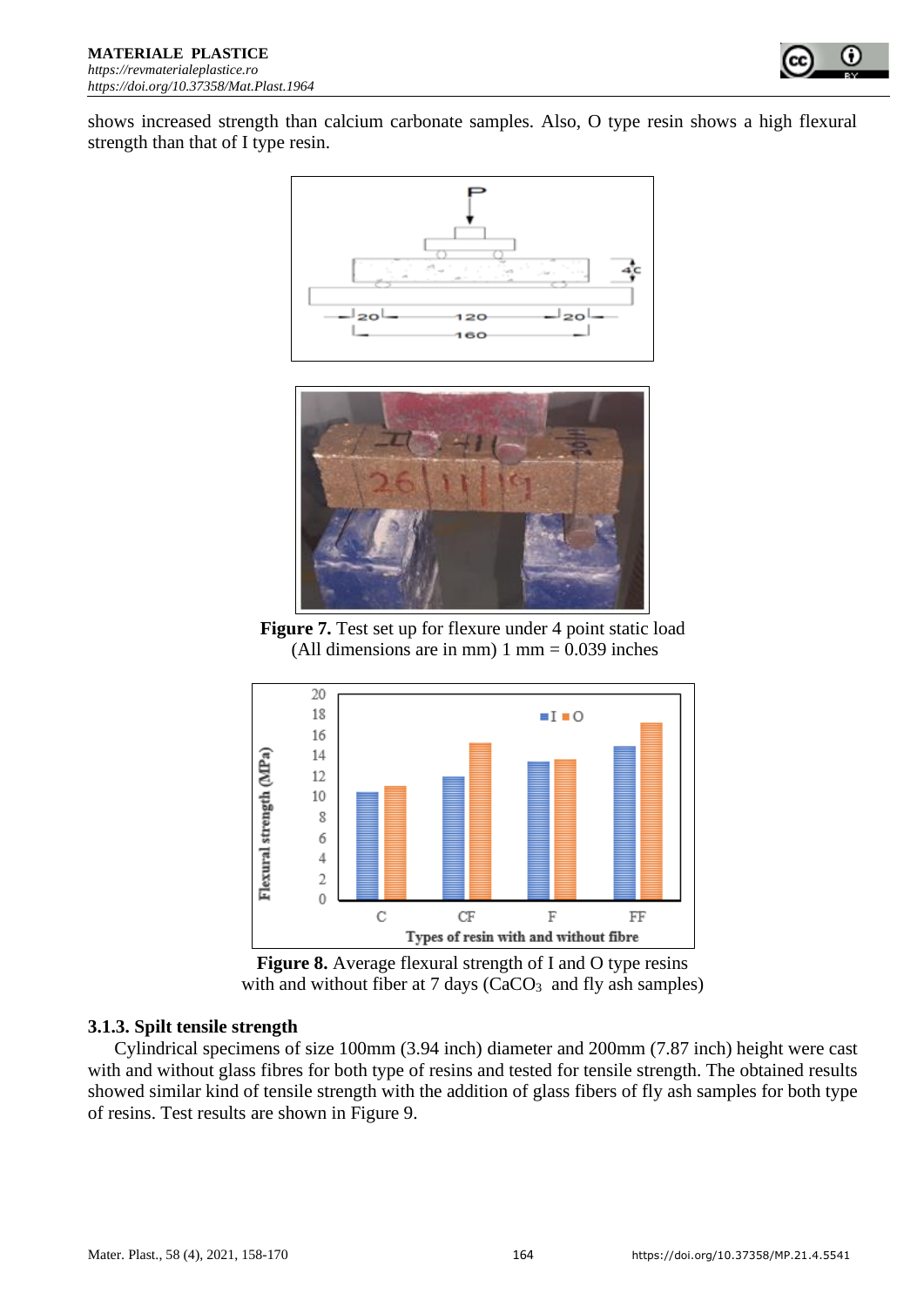

shows increased strength than calcium carbonate samples. Also, O type resin shows a high flexural strength than that of I type resin.





**Figure 7.** Test set up for flexure under 4 point static load (All dimensions are in mm)  $1 \text{ mm} = 0.039$  inches



**Figure 8.** Average flexural strength of I and O type resins with and without fiber at  $7 \text{ days } (CaCO<sub>3</sub> \text{ and fly ash samples})$ 

## **3.1.3. Spilt tensile strength**

Cylindrical specimens of size 100mm (3.94 inch) diameter and 200mm (7.87 inch) height were cast with and without glass fibres for both type of resins and tested for tensile strength. The obtained results showed similar kind of tensile strength with the addition of glass fibers of fly ash samples for both type of resins. Test results are shown in Figure 9.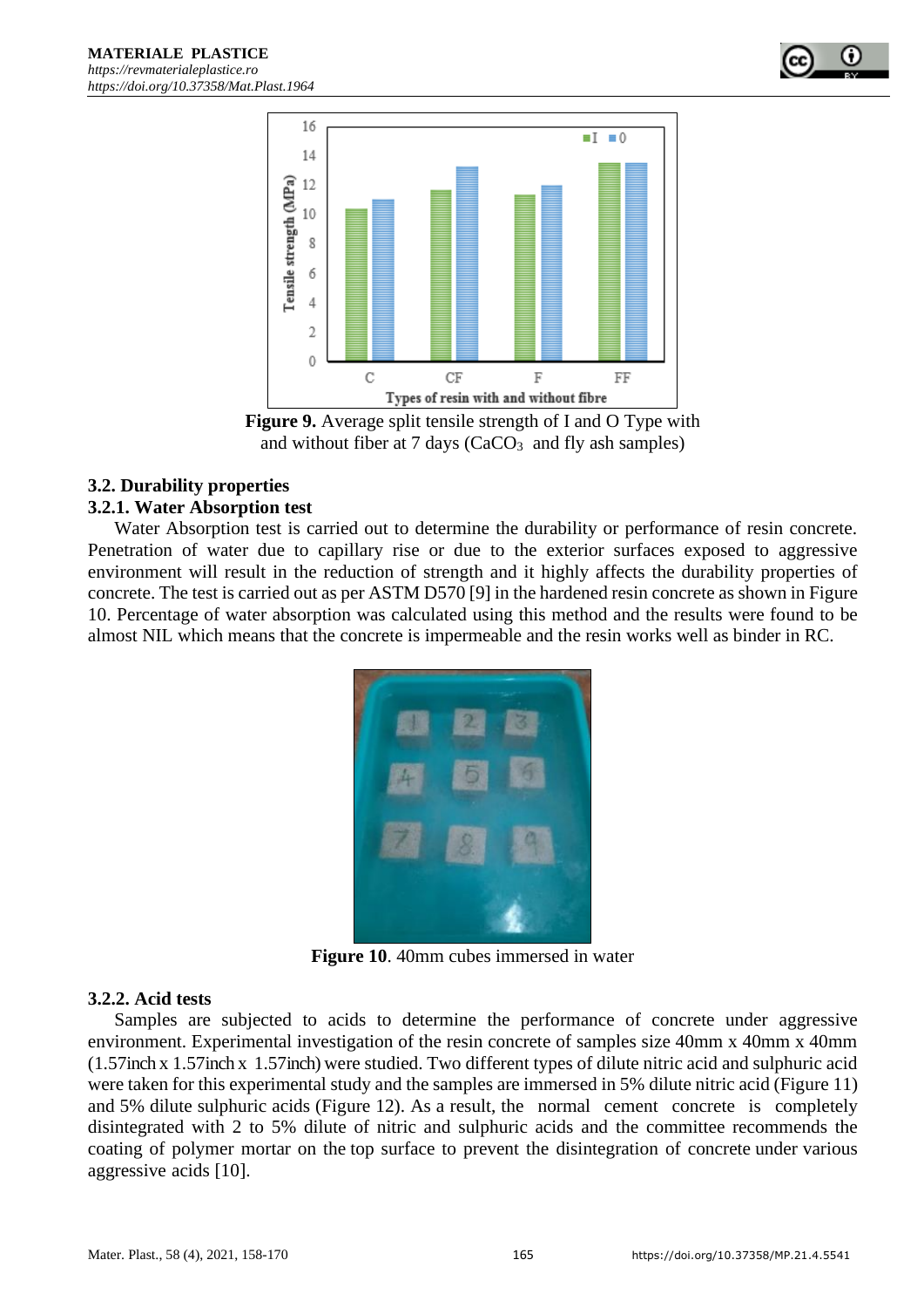





## **3.2. Durability properties**

## **3.2.1. Water Absorption test**

Water Absorption test is carried out to determine the durability or performance of resin concrete. Penetration of water due to capillary rise or due to the exterior surfaces exposed to aggressive environment will result in the reduction of strength and it highly affects the durability properties of concrete. The test is carried out as per ASTM D570 [9] in the hardened resin concrete as shown in Figure 10. Percentage of water absorption was calculated using this method and the results were found to be almost NIL which means that the concrete is impermeable and the resin works well as binder in RC.



**Figure 10**. 40mm cubes immersed in water

## **3.2.2. Acid tests**

Samples are subjected to acids to determine the performance of concrete under aggressive environment. Experimental investigation of the resin concrete of samples size 40mm x 40mm x 40mm (1.57inch x 1.57inch x 1.57inch) were studied. Two different types of dilute nitric acid and sulphuric acid were taken for this experimental study and the samples are immersed in 5% dilute nitric acid (Figure 11) and 5% dilute sulphuric acids (Figure 12). As a result, the normal cement concrete is completely disintegrated with 2 to 5% dilute of nitric and sulphuric acids and the committee recommends the coating of polymer mortar on the top surface to prevent the disintegration of concrete under various aggressive acids [10].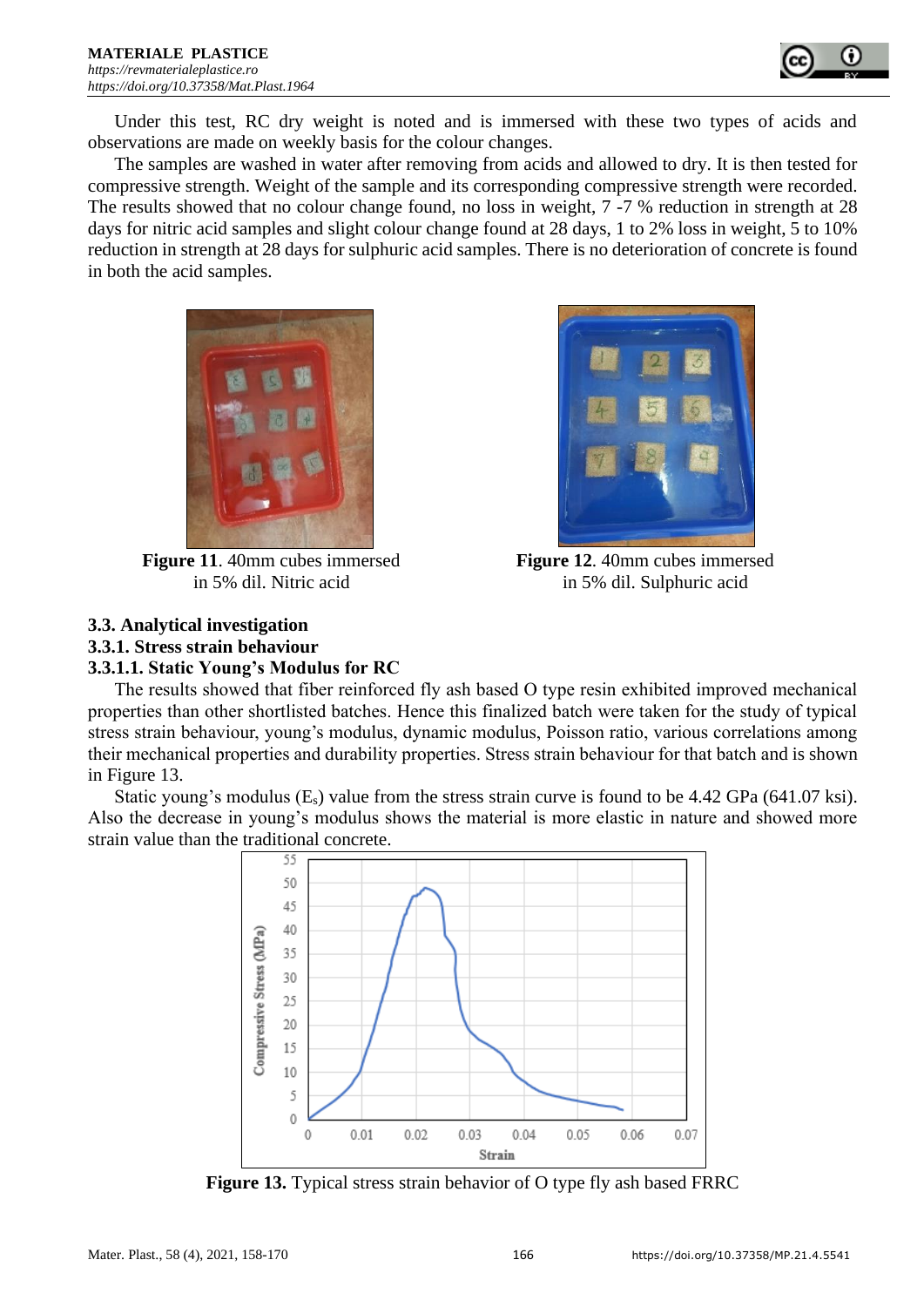

Under this test, RC dry weight is noted and is immersed with these two types of acids and observations are made on weekly basis for the colour changes.

The samples are washed in water after removing from acids and allowed to dry. It is then tested for compressive strength. Weight of the sample and its corresponding compressive strength were recorded. The results showed that no colour change found, no loss in weight, 7 -7 % reduction in strength at 28 days for nitric acid samples and slight colour change found at 28 days, 1 to 2% loss in weight, 5 to 10% reduction in strength at 28 days for sulphuric acid samples. There is no deterioration of concrete is found in both the acid samples.





 **Figure 11**. 40mm cubes immersed **Figure 12**. 40mm cubes immersed in 5% dil. Nitric acid in 5% dil. Sulphuric acid

# **3.3. Analytical investigation**

# **3.3.1. Stress strain behaviour**

## **3.3.1.1. Static Young's Modulus for RC**

The results showed that fiber reinforced fly ash based O type resin exhibited improved mechanical properties than other shortlisted batches. Hence this finalized batch were taken for the study of typical stress strain behaviour, young's modulus, dynamic modulus, Poisson ratio, various correlations among their mechanical properties and durability properties. Stress strain behaviour for that batch and is shown in Figure 13.

Static young's modulus  $(E_s)$  value from the stress strain curve is found to be 4.42 GPa (641.07 ksi). Also the decrease in young's modulus shows the material is more elastic in nature and showed more strain value than the traditional concrete.



**Figure 13.** Typical stress strain behavior of O type fly ash based FRRC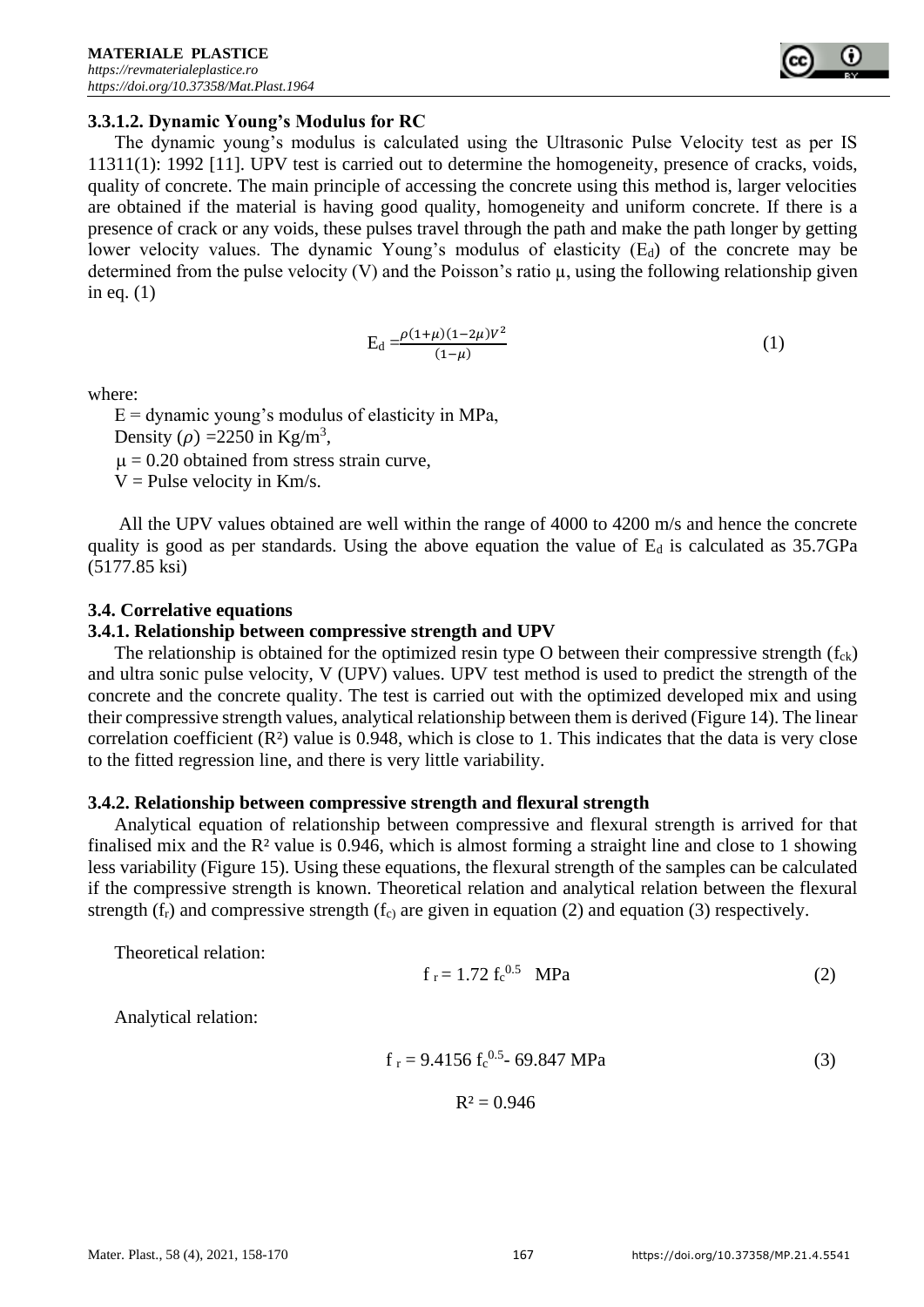

## **3.3.1.2. Dynamic Young's Modulus for RC**

The dynamic young's modulus is calculated using the Ultrasonic Pulse Velocity test as per IS 11311(1): 1992 [11]. UPV test is carried out to determine the homogeneity, presence of cracks, voids, quality of concrete. The main principle of accessing the concrete using this method is, larger velocities are obtained if the material is having good quality, homogeneity and uniform concrete. If there is a presence of crack or any voids, these pulses travel through the path and make the path longer by getting lower velocity values. The dynamic Young's modulus of elasticity  $(E_d)$  of the concrete may be determined from the pulse velocity  $(V)$  and the Poisson's ratio  $\mu$ , using the following relationship given in eq. (1)

$$
E_d = \frac{\rho(1+\mu)(1-2\mu)V^2}{(1-\mu)}
$$
 (1)

where:

 $E =$  dynamic young's modulus of elasticity in MPa, Density ( $\rho$ ) = 2250 in Kg/m<sup>3</sup>,  $\mu$  = 0.20 obtained from stress strain curve,

 $V =$  Pulse velocity in Km/s.

All the UPV values obtained are well within the range of 4000 to 4200 m/s and hence the concrete quality is good as per standards. Using the above equation the value of  $E_d$  is calculated as 35.7GPa (5177.85 ksi)

## **3.4. Correlative equations**

## **3.4.1. Relationship between compressive strength and UPV**

The relationship is obtained for the optimized resin type O between their compressive strength  $(f_{ck})$ and ultra sonic pulse velocity, V (UPV) values. UPV test method is used to predict the strength of the concrete and the concrete quality. The test is carried out with the optimized developed mix and using their compressive strength values, analytical relationship between them is derived (Figure 14). The linear correlation coefficient  $(R<sup>2</sup>)$  value is 0.948, which is close to 1. This indicates that the data is very close to the fitted regression line, and there is very little variability.

## **3.4.2. Relationship between compressive strength and flexural strength**

Analytical equation of relationship between compressive and flexural strength is arrived for that finalised mix and the  $\mathbb{R}^2$  value is 0.946, which is almost forming a straight line and close to 1 showing less variability (Figure 15). Using these equations, the flexural strength of the samples can be calculated if the compressive strength is known. Theoretical relation and analytical relation between the flexural strength  $(f_r)$  and compressive strength  $(f_c)$  are given in equation (2) and equation (3) respectively.

Theoretical relation:

$$
f_r = 1.72 f_c^{0.5} \text{ MPa}
$$
 (2)

Analytical relation:

$$
f_r = 9.4156 f_c^{0.5} - 69.847 MPa
$$
 (3)

 $R^2 = 0.946$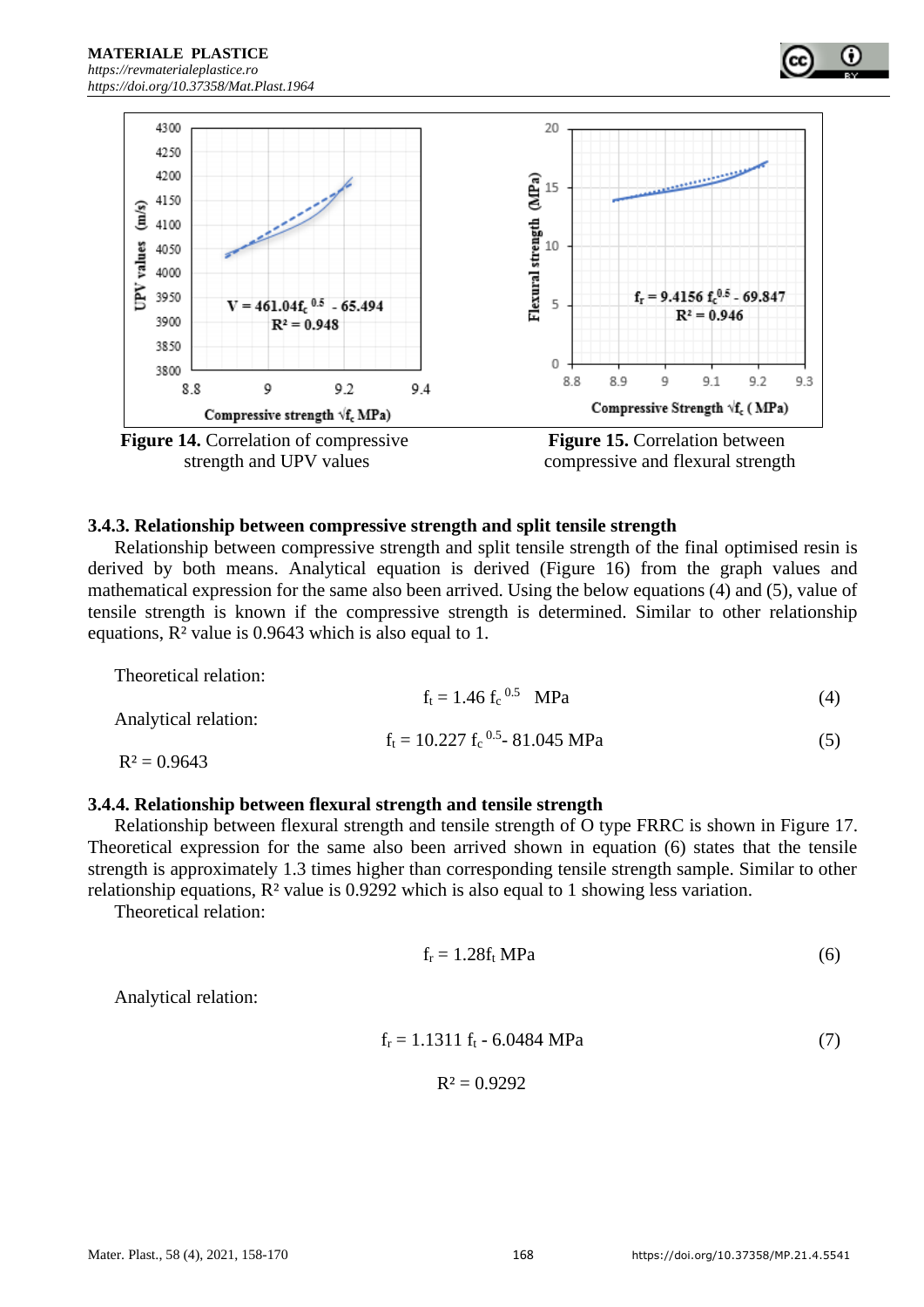





## **3.4.3. Relationship between compressive strength and split tensile strength**

Relationship between compressive strength and split tensile strength of the final optimised resin is derived by both means. Analytical equation is derived (Figure 16) from the graph values and mathematical expression for the same also been arrived. Using the below equations (4) and (5), value of tensile strength is known if the compressive strength is determined. Similar to other relationship equations, R² value is 0.9643 which is also equal to 1.

| Theoretical relation: |                                       |     |
|-----------------------|---------------------------------------|-----|
|                       | $f_t = 1.46 f_c^{0.5}$ MPa            | (4) |
| Analytical relation:  |                                       |     |
|                       | $f_t = 10.227 f_c^{0.5} - 81.045 MPa$ | (5) |
| $R^2 = 0.9643$        |                                       |     |

#### **3.4.4. Relationship between flexural strength and tensile strength**

Relationship between flexural strength and tensile strength of O type FRRC is shown in Figure 17. Theoretical expression for the same also been arrived shown in equation (6) states that the tensile strength is approximately 1.3 times higher than corresponding tensile strength sample. Similar to other relationship equations, R² value is 0.9292 which is also equal to 1 showing less variation.

Theoretical relation:

$$
f_r = 1.28f_t MPa \tag{6}
$$

Analytical relation:

$$
f_r = 1.1311 f_t - 6.0484 MPa \tag{7}
$$

$$
R^2=0.9292
$$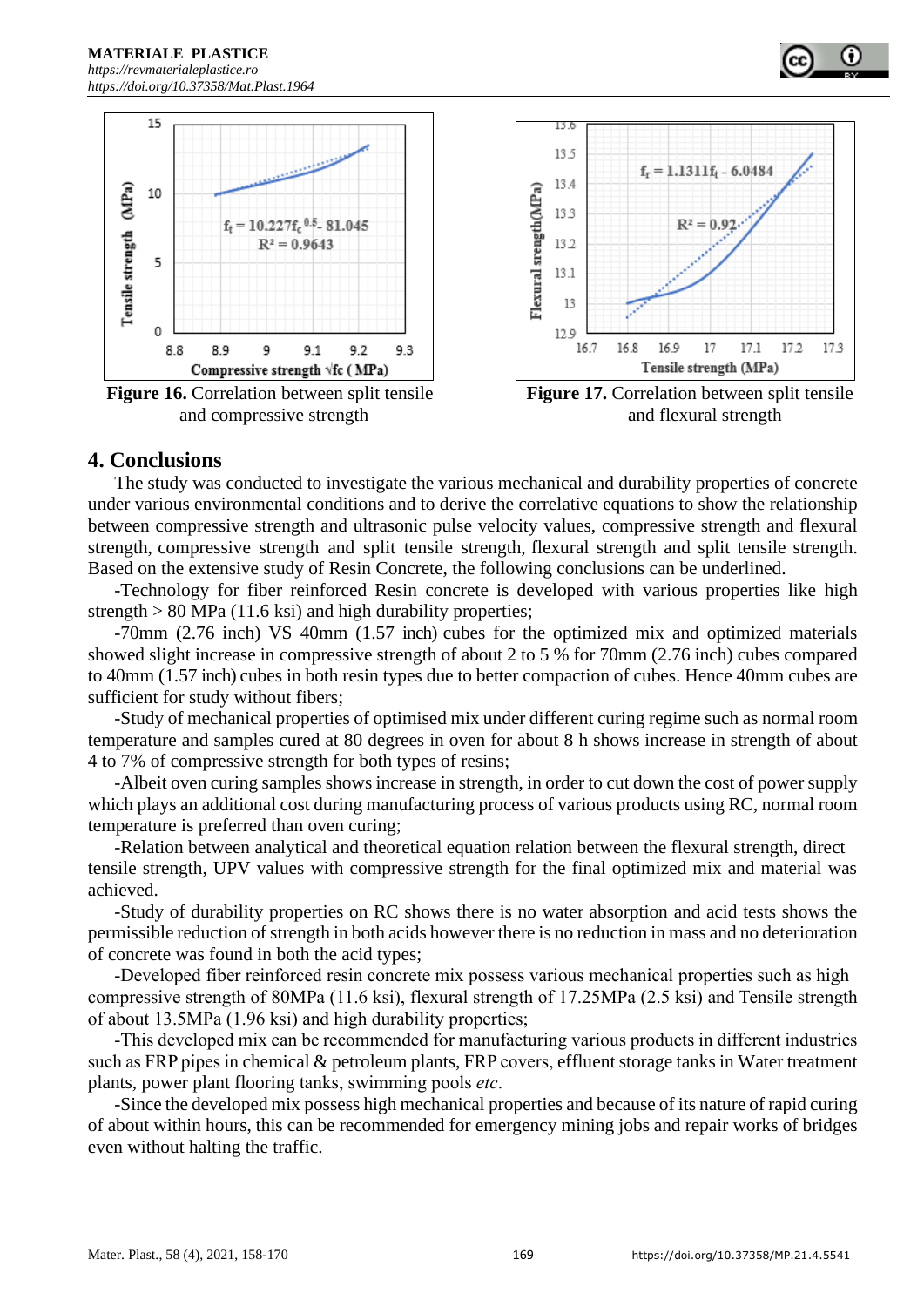

**Figure 16.** Correlation between split tensile **Figure 17.** Correlation between split tensile



and compressive strength and flexural strength and flexural strength

## **4. Conclusions**

The study was conducted to investigate the various mechanical and durability properties of concrete under various environmental conditions and to derive the correlative equations to show the relationship between compressive strength and ultrasonic pulse velocity values, compressive strength and flexural strength, compressive strength and split tensile strength, flexural strength and split tensile strength. Based on the extensive study of Resin Concrete, the following conclusions can be underlined.

-Technology for fiber reinforced Resin concrete is developed with various properties like high strength  $> 80$  MPa (11.6 ksi) and high durability properties;

-70mm (2.76 inch) VS 40mm (1.57 inch) cubes for the optimized mix and optimized materials showed slight increase in compressive strength of about 2 to 5 % for 70mm (2.76 inch) cubes compared to 40mm (1.57 inch) cubes in both resin types due to better compaction of cubes. Hence 40mm cubes are sufficient for study without fibers;

-Study of mechanical properties of optimised mix under different curing regime such as normal room temperature and samples cured at 80 degrees in oven for about 8 h shows increase in strength of about 4 to 7% of compressive strength for both types of resins;

-Albeit oven curing samples shows increase in strength, in order to cut down the cost of power supply which plays an additional cost during manufacturing process of various products using RC, normal room temperature is preferred than oven curing;

-Relation between analytical and theoretical equation relation between the flexural strength, direct tensile strength, UPV values with compressive strength for the final optimized mix and material was achieved.

-Study of durability properties on RC shows there is no water absorption and acid tests shows the permissible reduction of strength in both acids however there is no reduction in mass and no deterioration of concrete was found in both the acid types;

-Developed fiber reinforced resin concrete mix possess various mechanical properties such as high compressive strength of 80MPa (11.6 ksi), flexural strength of 17.25MPa (2.5 ksi) and Tensile strength of about 13.5MPa (1.96 ksi) and high durability properties;

-This developed mix can be recommended for manufacturing various products in different industries such as FRP pipes in chemical & petroleum plants, FRP covers, effluent storage tanks in Water treatment plants, power plant flooring tanks, swimming pools *etc*.

-Since the developed mix possess high mechanical properties and because of its nature of rapid curing of about within hours, this can be recommended for emergency mining jobs and repair works of bridges even without halting the traffic.